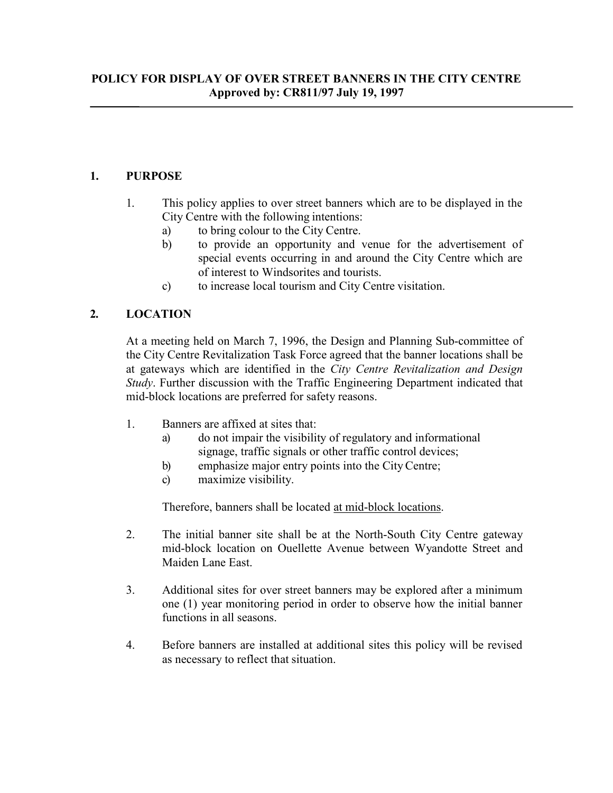## **1. PURPOSE**

- 1. This policy applies to over street banners which are to be displayed in the City Centre with the following intentions:
	- a) to bring colour to the City Centre.
	- b) to provide an opportunity and venue for the advertisement of special events occurring in and around the City Centre which are of interest to Windsorites and tourists.
	- c) to increase local tourism and City Centre visitation.

# **2. LOCATION**

At a meeting held on March 7, 1996, the Design and Planning Sub-committee of the City Centre Revitalization Task Force agreed that the banner locations shall be at gateways which are identified in the *City Centre Revitalization and Design Study*. Further discussion with the Traffic Engineering Department indicated that mid-block locations are preferred for safety reasons.

- 1. Banners are affixed at sites that:
	- a) do not impair the visibility of regulatory and informational signage, traffic signals or other traffic control devices;
	- b) emphasize major entry points into the CityCentre;
	- c) maximize visibility.

Therefore, banners shall be located at mid-block locations.

- 2. The initial banner site shall be at the North-South City Centre gateway mid-block location on Ouellette Avenue between Wyandotte Street and Maiden Lane East.
- 3. Additional sites for over street banners may be explored after a minimum one (1) year monitoring period in order to observe how the initial banner functions in all seasons.
- 4. Before banners are installed at additional sites this policy will be revised as necessary to reflect that situation.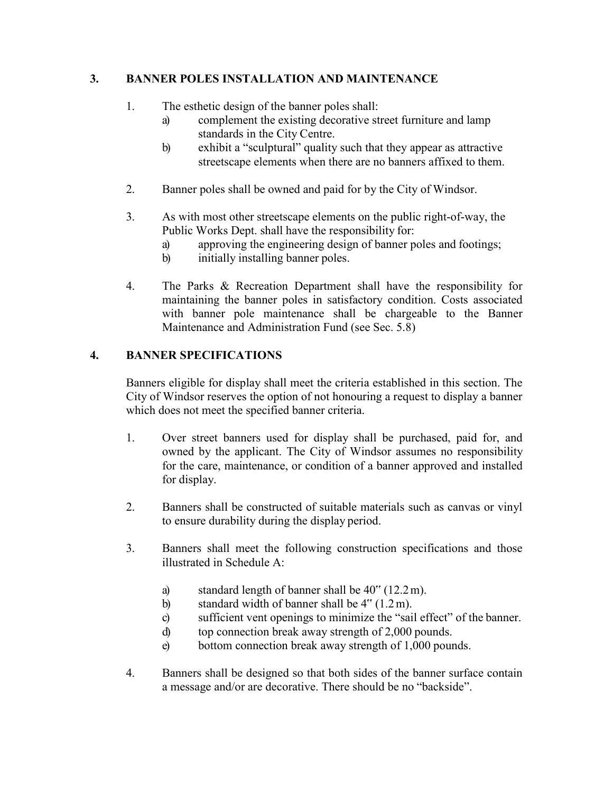#### **3. BANNER POLES INSTALLATION AND MAINTENANCE**

- 1. The esthetic design of the banner poles shall:
	- a) complement the existing decorative street furniture and lamp standards in the City Centre.
	- b) exhibit a "sculptural" quality such that they appear as attractive streetscape elements when there are no banners affixed to them.
- 2. Banner poles shall be owned and paid for by the City of Windsor.
- 3. As with most other streetscape elements on the public right-of-way, the Public Works Dept. shall have the responsibility for:
	- a) approving the engineering design of banner poles and footings;
	- b) initially installing banner poles.
- 4. The Parks & Recreation Department shall have the responsibility for maintaining the banner poles in satisfactory condition. Costs associated with banner pole maintenance shall be chargeable to the Banner Maintenance and Administration Fund (see Sec. 5.8)

### **4. BANNER SPECIFICATIONS**

Banners eligible for display shall meet the criteria established in this section. The City of Windsor reserves the option of not honouring a request to display a banner which does not meet the specified banner criteria.

- 1. Over street banners used for display shall be purchased, paid for, and owned by the applicant. The City of Windsor assumes no responsibility for the care, maintenance, or condition of a banner approved and installed for display.
- 2. Banners shall be constructed of suitable materials such as canvas or vinyl to ensure durability during the display period.
- 3. Banners shall meet the following construction specifications and those illustrated in Schedule A:
	- a) standard length of banner shall be 40" (12.2m).
	- b) standard width of banner shall be  $4^{\prime\prime}(1.2 \text{ m})$ .
	- c) sufficient vent openings to minimize the "sail effect" of the banner.
	- d) top connection break away strength of 2,000 pounds.
	- e) bottom connection break away strength of 1,000 pounds.
- 4. Banners shall be designed so that both sides of the banner surface contain a message and/or are decorative. There should be no "backside".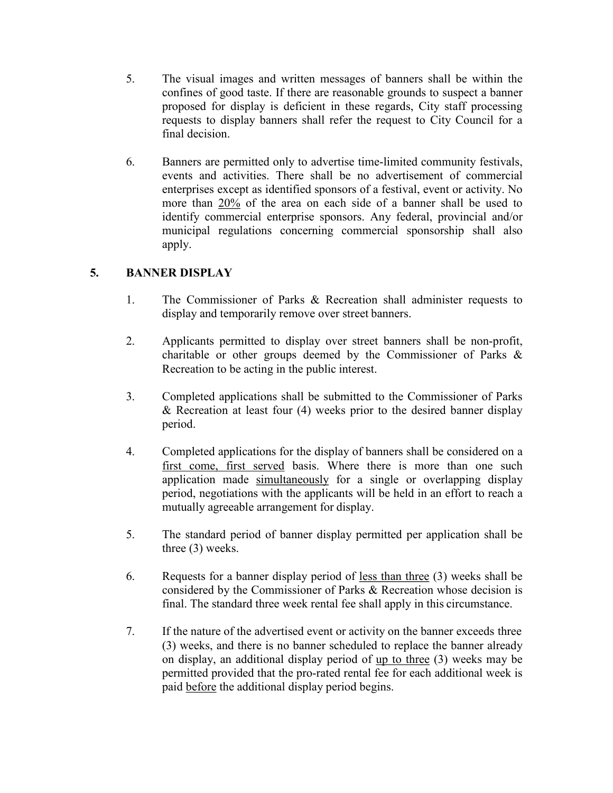- 5. The visual images and written messages of banners shall be within the confines of good taste. If there are reasonable grounds to suspect a banner proposed for display is deficient in these regards, City staff processing requests to display banners shall refer the request to City Council for a final decision.
- 6. Banners are permitted only to advertise time-limited community festivals, events and activities. There shall be no advertisement of commercial enterprises except as identified sponsors of a festival, event or activity. No more than 20% of the area on each side of a banner shall be used to identify commercial enterprise sponsors. Any federal, provincial and/or municipal regulations concerning commercial sponsorship shall also apply.

# **5. BANNER DISPLAY**

- 1. The Commissioner of Parks & Recreation shall administer requests to display and temporarily remove over street banners.
- 2. Applicants permitted to display over street banners shall be non-profit, charitable or other groups deemed by the Commissioner of Parks & Recreation to be acting in the public interest.
- 3. Completed applications shall be submitted to the Commissioner of Parks & Recreation at least four (4) weeks prior to the desired banner display period.
- 4. Completed applications for the display of banners shall be considered on a first come, first served basis. Where there is more than one such application made simultaneously for a single or overlapping display period, negotiations with the applicants will be held in an effort to reach a mutually agreeable arrangement for display.
- 5. The standard period of banner display permitted per application shall be three (3) weeks.
- 6. Requests for a banner display period of less than three (3) weeks shall be considered by the Commissioner of Parks & Recreation whose decision is final. The standard three week rental fee shall apply in this circumstance.
- 7. If the nature of the advertised event or activity on the banner exceeds three (3) weeks, and there is no banner scheduled to replace the banner already on display, an additional display period of up to three (3) weeks may be permitted provided that the pro-rated rental fee for each additional week is paid before the additional display period begins.